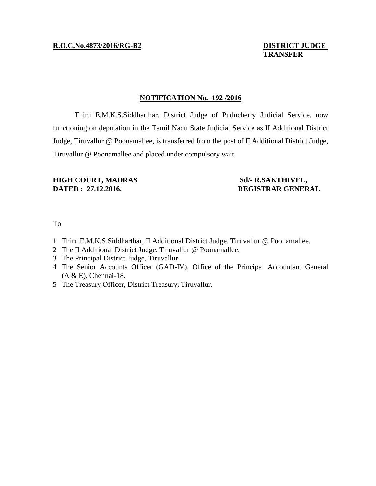# **TRANSFER**

#### **NOTIFICATION No. 192 /2016**

Thiru E.M.K.S.Siddharthar, District Judge of Puducherry Judicial Service, now functioning on deputation in the Tamil Nadu State Judicial Service as II Additional District Judge, Tiruvallur @ Poonamallee, is transferred from the post of II Additional District Judge, Tiruvallur @ Poonamallee and placed under compulsory wait.

## **HIGH COURT, MADRAS Sd/- R.SAKTHIVEL, DATED : 27.12.2016.** REGISTRAR GENERAL

### To

- 1 Thiru E.M.K.S.Siddharthar, II Additional District Judge, Tiruvallur @ Poonamallee.
- 2 The II Additional District Judge, Tiruvallur @ Poonamallee.
- 3 The Principal District Judge, Tiruvallur.
- 4 The Senior Accounts Officer (GAD-IV), Office of the Principal Accountant General (A & E), Chennai-18.
- 5 The Treasury Officer, District Treasury, Tiruvallur.